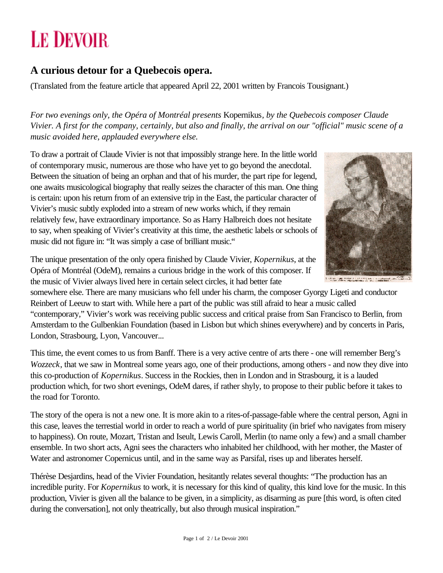## **LE DEVOIR**

## **A curious detour for a Quebecois opera.**

(Translated from the feature article that appeared April 22, 2001 written by Francois Tousignant.)

*For two evenings only, the Opéra of Montréal presents* Kopernikus*, by the Quebecois composer Claude Vivier. A first for the company, certainly, but also and finally, the arrival on our "official" music scene of a music avoided here, applauded everywhere else.*

To draw a portrait of Claude Vivier is not that impossibly strange here. In the little world of contemporary music, numerous are those who have yet to go beyond the anecdotal. Between the situation of being an orphan and that of his murder, the part ripe for legend, one awaits musicological biography that really seizes the character of this man. One thing is certain: upon his return from of an extensive trip in the East, the particular character of Vivier's music subtly exploded into a stream of new works which, if they remain relatively few, have extraordinary importance. So as Harry Halbreich does not hesitate to say, when speaking of Vivier's creativity at this time, the aesthetic labels or schools of music did not figure in: "It was simply a case of brilliant music."



The unique presentation of the only opera finished by Claude Vivier, *Kopernikus*, at the Opéra of Montréal (OdeM), remains a curious bridge in the work of this composer. If the music of Vivier always lived here in certain select circles, it had better fate

somewhere else. There are many musicians who fell under his charm, the composer Gyorgy Ligeti and conductor Reinbert of Leeuw to start with. While here a part of the public was still afraid to hear a music called "contemporary," Vivier's work was receiving public success and critical praise from San Francisco to Berlin, from Amsterdam to the Gulbenkian Foundation (based in Lisbon but which shines everywhere) and by concerts in Paris, London, Strasbourg, Lyon, Vancouver...

This time, the event comes to us from Banff. There is a very active centre of arts there - one will remember Berg's *Wozzeck*, that we saw in Montreal some years ago, one of their productions, among others - and now they dive into this co-production of *Kopernikus*. Success in the Rockies, then in London and in Strasbourg, it is a lauded production which, for two short evenings, OdeM dares, if rather shyly, to propose to their public before it takes to the road for Toronto.

The story of the opera is not a new one. It is more akin to a rites-of-passage-fable where the central person, Agni in this case, leaves the terrestial world in order to reach a world of pure spirituality (in brief who navigates from misery to happiness). On route, Mozart, Tristan and Iseult, Lewis Caroll, Merlin (to name only a few) and a small chamber ensemble. In two short acts, Agni sees the characters who inhabited her childhood, with her mother, the Master of Water and astronomer Copernicus until, and in the same way as Parsifal, rises up and liberates herself.

Thérèse Desjardins, head of the Vivier Foundation, hesitantly relates several thoughts: "The production has an incredible purity. For *Kopernikus* to work, it is necessary for this kind of quality, this kind love for the music. In this production, Vivier is given all the balance to be given, in a simplicity, as disarming as pure [this word, is often cited during the conversation], not only theatrically, but also through musical inspiration."